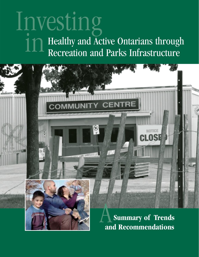# Investing Healthy and Active Ontarians through Recreation and Parks Infrastructure in

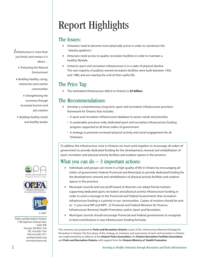# Report Highlights

#### The Issues:

- Ontarians need to become more physically active in order to counteract the "obesity epidemic."
- Ontarians need access to quality recreation facilities in order to maintain a healthy lifestyle.
- Ontario's sport and recreation infrastructure is in a state of physical decline. The vast majority of publicly owned recreation facilities were built between 1956 and 1980, and are nearing the end of their useful life.

### The Price Tag:

The estimated infrastructure deficit in Ontario is **\$5 billion**.

### The Recommendations:

- Develop a comprehensive, long-term, sport and recreation infrastructure provision framework for Ontario that includes:
	- A sport and recreation infrastructure database to assess needs and priorities.
	- A sustainable, province-wide, dedicated sport and recreation infrastructure funding program supported at all three orders of government.
	- A strategy to promote increased physical activity and social engagement for all Ontarians.

To address the infrastructure crisis in Ontario, we must work together to encourage all orders of government to provide dedicated funding for the development, renewal and rehabilitation of sport, recreation and physical activity facilities and outdoor spaces in the province.

### What you can  $do - 3$  important actions:

- Individuals and groups can invest in a high quality of life in Ontario by encouraging all orders of government, Federal, Provincial and Municipal, to provide dedicated funding for the development, renewal and rehabilitation of physical activity facilities and outdoor spaces in the province.
- Municipal councils and non-profit board of directors can adopt formal motions supporting dedicated sport, recreation and physical activity infrastructure funding, in order to send a message to the Provincial and Federal Governments that recreation infrastructure funding is a priority in our communities. Copies of motions should be sent to: 1) your local MP and MPP; 2) Provincial and Federal Ministers for Finance, Infrastructure Renewal, Health Promotion, and/or Sport and Recreation.
- Municipal councils should encourage Provincial and Federal governments to recognize in-kind contributions in any infrastructure funding formulas.

This summary was prepared by **Parks and Recreation Ontario** as part of the Infrastructure Renewal Strategy for Recreation in Ontario. The first phase of this strategy, an inventory and assessment of sport and recreation in Ontario was implemented by an alliance of the **Ontario Parks Association**, the **Ontario Recreation Facilities Association** and **Parks and Recreation Ontario**, with support from the **Ontario Ministry of Health Promotion**.

*Infrastructure is more than just bricks and mortar, it is about…*

- *Protecting the Natural Environment*
- *Building healthy, caring, interactive and creative communities*

*Strengthening the economy through increased tourism and job creation*

*Building healthy minds and healthy bodies*







Parks and Recreation Ontario 1185 Eglinton Avenue East, Suite 406 Toronto ON M3C 3C6 TEL 416.426.7142 FAX 416.426.7371 pro@prontario.org www.prontario.org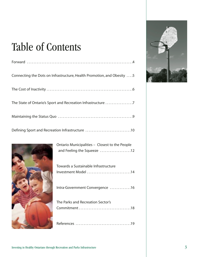## Table of Contents

| Connecting the Dots on Infrastructure, Health Promotion, and Obesity  . 5 |
|---------------------------------------------------------------------------|
|                                                                           |
| The State of Ontario's Sport and Recreation Infrastructure 7              |
|                                                                           |
| Defining Sport and Recreation Infrastructure 10                           |



| and Feeling the Squeeze 12                                  |
|-------------------------------------------------------------|
| Towards a Sustainable Infrastructure<br>Investment Model 14 |
| Intra-Government Convergence 16                             |
| The Parks and Recreation Sector's                           |
|                                                             |

Ontario Municipalities – Closest to the People

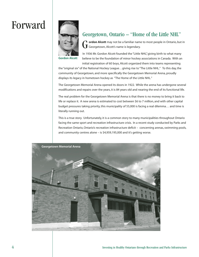### Forward



#### Georgetown, Ontario – "Home of the Little NHL"

**ordon Alcott** may not be a familiar name to most people in Ontario, but in Georgetown, Alcott's name is legendary.

**Gordon Alcott**

In 1936 Mr. Gordon Alcott founded the "Little NHL", giving birth to what many believe to be the foundation of minor hockey associations in Canada. With an initial registration of 60 boys, Alcott organized them into teams representing

the "original six" of the National Hockey League…giving rise to "The Little NHL." To this day, the community of Georgetown, and more specifically the Georgetown Memorial Arena, proudly displays its legacy in hometown hockey as "The Home of the Little NHL."

The Georgetown Memorial Arena opened its doors in 1922. While the arena has undergone several modifications and repairs over the years, it is 84 years old and nearing the end of its functional life.

The real problem for the Georgetown Memorial Arena is that there is no money to bring it back to life or replace it. A new arena is estimated to cost between \$6 to 7 million, and with other capital budget pressures taking priority, this municipality of 55,000 is facing a real dilemma… and time is literally running out.

This is a true story. Unfortunately, it is a common story to many municipalities throughout Ontario facing the same sport and recreation infrastructure crisis. In a recent study conducted by Parks and Recreation Ontario, Ontario's recreation infrastructure deficit – concerning arenas, swimming pools, and community centres alone – is \$4,959,195,000 and it's getting worse.

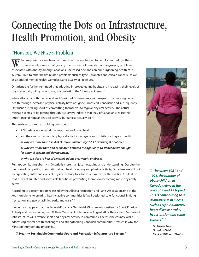## Connecting the Dots on Infrastructure, Health Promotion, and Obesity

### "Houston, We Have a Problem…"

hat may seem as an obvious connection to some, has yet to be fully realized by others. There is rarely a week that goes by that we are not reminded of the growing problems W hat may seem as an obvious connection to some, has yet to be fully realized by others.<br>There is rarely a week that goes by that we are not reminded of the growing problems<br>associated with obesity among Canadians: increas system; links to other health related problems such as type 2 diabetes and certain cancers; as well as a series of mental health, workplace, and quality of life issues.

Ontarians are further reminded that adopting improved eating habits, and increasing their levels of physical activity will go a long way to combating the "obesity epidemic."

While efforts by both the Federal and Provincial Governments with respect to promoting better health through increased physical activity have not gone unnoticed, Canadians and subsequently Ontarians are falling short of committing themselves to regular physical activity. The actual message seems to be getting through, as surveys indicate that 80% of Canadians realize the importance of regular physical activity, but far less actually do it.

This leads us to a more troubling question…

- if Ontarians understand the importance of good health…
- and they know that regular physical activity is a significant contributor to good health… *a) Why are more than 1 in 4 of Ontario's children aged 2-17 overweight or obese? b) Why are "more than half of children between the ages of 15 to 19 not active enough for optimal growth and development?"*

#### *c) Why are close to half of Ontario's adults overweight or obese?*

Perhaps combating obesity in Ontario is more than just messaging and understanding. Despite the plethora of compelling information about healthy eating and physical activity, Ontarians are still not incorporating sufficient levels of physical activity to achieve optimum health benefits. Could it be that a lack of suitable and accessible facilities is preventing them from becoming more physically active?

According to a recent report released by the Alberta Recreation and Parks Association, one of the key ingredients to creating healthy active communities is "well designed, safe, functional, inviting (recreation and sport) facilities, parks and trails."(1)

It would also appear that the Federal/Provincial/Territorial Ministers responsible for Sport, Physical Activity and Recreation agree. At their Ministers Conference in August 2005, they stated: "improved infrastructure will advance sport and physical activity in communities across the country while addressing critical health challenges and strengthening Canadian communities." Which is why the Ministers' number one priority is…

**"A Healthy Sustainable Community Sport and Recreation Infrastructure System."**



*"…between 1981 and 1996, the number of obese children in Canada between the ages of 7 and 13 tripled. This is contributing to a dramatic rise in illness such as type 2 diabetes, heart disease, stroke, hypertension and some cancers" (2)*

*Dr. Sheela Basrur Ontario's Chief Medical Officer of Health*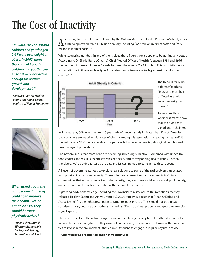# The Cost of Inactivity

*" In 2004, 28% of Ontario children and youth aged 2-17 were overweight or obese. In 2002, more than half of Canadian children and youth aged 15 to 19 were not active enough for optimal growth and development". (8)*

*Ontario's Plan for Healthy Eating and Active Living, Ministry of Health Promotion*



*When asked about the number one thing they could do to improve their health, 80% of Canadians say they should be more physically active. (9)*

*Provincial/Territorial Ministers Responsible for Physical Activity, Recreation, and Sport*

ccording to a recent report released by the Ontario Ministry of Health Promotion "obesity costs Ontario approximately \$1.6 billion annually, including \$647 million in direct costs and \$905  $\AA$  coording to a recent is<br>million in indirect costs". (3)

While staggering numbers in and of themselves, these figures don't appear to be getting any better. According to Dr. Sheila Basrur, Ontario's Chief Medical Officer of Health,"between 1981 and 1996, the number of obese children in Canada between the ages of 7 – 13 tripled. This is contributing to a dramatic rise in illness such as type 2 diabetes, heart disease, stroke, hypertension and some cancers" . (4)



The trend is really no different for adults. "In 2003, almost half of Ontario's adults were overweight or obese". (5)

To make matters worse,"estimates show that the number of Canadians in their 60s

will increase by 50% over the next 10 years, while "a recent study indicates that 52% of Canadian baby boomers are inactive, with rates of obesity among this generation increasing by nearly 60% in the last decade."<sup>(6)</sup> Other vulnerable groups include low income families, aboriginal peoples, and new immigrant populations.

The bottom line is that more of us are becoming increasingly inactive. Combined with unhealthy food choices, the result is record statistics of obesity and corresponding health issues. Loosely translated, we're getting fatter by the day, and it's costing us a fortune in health care costs.

All levels of governments need to explore real solutions to some of the real problems associated with physical inactivity and obesity. These solutions represent sound investments in Ontario communities that not only serve to combat obesity, they also have social, economical, public safety, and environmental benefits associated with their implementation.

A growing body of knowledge, including the Provincial Ministry of Health Promotion's recently released Healthy Eating and Active Living (H.E.A.L.) strategy, suggests that "Healthy Eating and Active Living"<sup>(7)</sup> is the right prescription to Ontario's obesity crisis. This should not be a great surprise to most, because our mother's warned us: "if you don't eat properly and get some exercise – you'll get fat!"

This report speaks to the 'active living' portion of the obesity prescription. It further illustrates that in order to achieve tangible results, provincial and federal governments must work with municipalities to invest in the environments that enable Ontarians to engage in regular physical activity…

**Community Sport and Recreation Infrastructure!**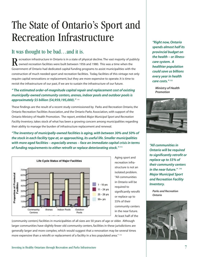## The State of Ontario's Sport and Recreation Infrastructure

### It was thought to be bad…and it is.

ecreation infrastructure in Ontario is in a state of physical decline. The vast majority of publicly owned recreation facilities were built between 1956 and 1980. This was a time when the Government of Ontario had dedicated capital funding programs to assist municipalities with the construction of much needed sport and recreation facilities. Today, facilities of this vintage not only require capital renovations or replacement, but they are more expensive to operate. It is time to revisit the infrastructure of our past, if we are to sustain the infrastructure of our future. R

#### *" The estimated order-of-magnitude capital repair and replacement cost of existing municipally-owned community centers, arenas, indoor pools and outdoor pools is approximately \$5 billion (\$4,959,195,000)."* (10)

These findings are the result of a recent study commissioned by Parks and Recreation Ontario, the Ontario Recreation Facilities Association, and the Ontario Parks Association, with support of the Ontario Ministry of Health Promotion. The report, entitled *Major Municipal Sport and Recreation Facility Inventory*, takes stock of what has been a growing concern among municipalities regarding their ability to manage the burden of infrastructure replacement and renewal.

*"The inventory of municipally-owned facilities is aging, with between 30% and 50% of the stock in each facility type at, or approaching, its useful life. Smaller municipalities with more aged facilities – especially arenas – face an immediate capital crisis in terms of funding requirements to either retrofit or replace deteriorating stock." (11)*



Aging sport and recreation infrastructure is not an isolated problem. "All communities in Ontario will be required to significantly retrofit or replace up to 55% of their community centers in the near future. At least half of the

(community centers) facilities in municipalities of all sizes are 50 years of age or older. Although larger communities have slightly fewer old community centers, facilities in these jurisdictions are generally larger and more complex, which would suggest that a renovation may be several times more expensive than a retrofit or replacement of a facility in a less populated area." (12)

*"Right now, Ontario spends almost half its provincial budget on the health – or illnesscare system. A healthier population could save us billions every year in health care costs." (13)*

*Ministry of Health Promotion*



*"All communities in Ontario will be required to significantly retrofit or replace up to 55% of their community centers in the near future." (14) Major Municipal Sport and Recreation Facility Inventory.*

*Parks and Recreation Ontario*

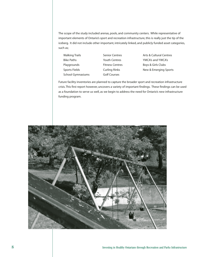The scope of the study included arenas, pools, and community centers. While representative of important elements of Ontario's sport and recreation infrastructure, this is really just the tip of the iceberg. It did not include other important, intricately linked, and publicly funded asset categories, such as;

- Walking Trails Bike Paths Playgrounds Sports Fields School Gymnasiums
- Senior Centres Youth Centres Fitness Centres Curling Rinks Golf Courses

Arts & Cultural Centres YMCA's and YWCA's Boys & Girls Clubs New & Emerging Sports

Future facility inventories are planned to capture the broader sport and recreation infrastructure crisis. This first report however, uncovers a variety of important findings. These findings can be used as a foundation to serve us well, as we begin to address the need for Ontario's new infrastructure funding program.

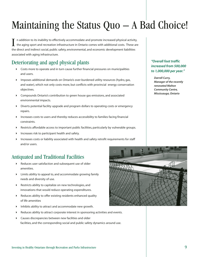# Maintaining the Status Quo – A Bad Choice!

n addition to its inability to effectively accommodate and promote increased physical activity, the aging sport and recreation infrastructure in Ontario comes with additional costs. These are In addition to its inability to effectively accommodate and promote increased physical activit<br>the aging sport and recreation infrastructure in Ontario comes with additional costs. These a<br>the direct and indirect social, p associated with aging infrastructure.

### Deteriorating and aged physical plants

- Costs more to operate and in turn cause further financial pressures on municipalities and users.
- Imposes additional demands on Ontario's over-burdened utility resources (hydro, gas, and water), which not only costs more, but conflicts with provincial energy conservation objectives.
- Compounds Ontario's contribution to green house gas emissions, and associated environmental impacts.
- Diverts potential facility upgrade and program dollars to operating costs or emergency repairs.
- $\blacktriangleright$  Increases costs to users and thereby reduces accessibility to families facing financial constraints.
- Restricts affordable access to important public facilities, particularly by vulnerable groups.
- Increases risk to participant health and safety.
- Increases costs or liability associated with health and safety retrofit requirements for staff and/or users.

### Antiquated and Traditional Facilities

- Reduces user satisfaction and subsequent use of older amenities.
- Limits ability to appeal to, and accommodate growing family needs and diversity of use.
- Restricts ability to capitalize on new technologies, and innovations that would reduce operating expenditures.
- Reduces ability to offer existing residents enhanced quality of life amenities
- Inhibits ability to attract and accommodate new growth.
- Reduces ability to attract corporate interest in sponsoring activities and events.
- Causes discrepancies between new facilities and older facilities, and the corresponding social and public safety dynamics around use.



*"Overall foot traffic increased from 500,000 to 1,000,000 per year."*

*Darrell Curry, Manager of the recently renovated Malton Community Centre, Mississauga, Ontario*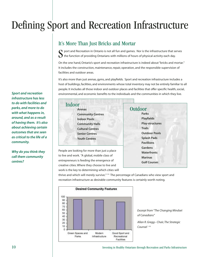# Defining Sport and Recreation Infrastructure

### It's More Than Just Bricks and Mortar

 $\bigcap$  port and Recreation in Ontario is not all fun and games. Nor is the infrastructure that serves the function of providing Ontarians with millions of hours of physical activity each day. S

On the one hand, Ontario's sport and recreation infrastructure is indeed about "bricks and mortar." It includes the construction, maintenance, repair, operation, and the responsible supervision of facilities and outdoor areas.

It's also more than just arenas, gyms, and playfields. Sport and recreation infrastructure includes a host of buildings, facilities, and environments whose total inventory may not be entirely familiar to all people. It includes all those indoor and outdoor places and facilities that offer specific health, social, environmental, and economic benefits to the individuals and the communities in which they live.

*Sport and recreation infrastructure has less to do with facilities and parks, and more to do with what happens in, around, and as a result of having them. It's also about achieving certain outcomes that are seen as critical to the life of a community.*

*Why do you think they call them community centres?*

| Indoor |                          |  |
|--------|--------------------------|--|
|        | <b>Arenas</b>            |  |
|        | <b>Community Centres</b> |  |
|        | <b>Indoor Pools</b>      |  |
|        | <b>Community Halls</b>   |  |
|        | <b>Cultural Centres</b>  |  |
|        | <b>Senior Centres</b>    |  |
|        | <b>Youth Centres</b>     |  |
|        |                          |  |

People are looking for more than just a place to live and work. "A global, mobile class of entrepreneurs is feeding the emergence of creative cities. Where they choose to live and work is the key to determining which cities will Outdoor **Parks Playfields Play-structures Trails Outdoor Pools Splash Pads Pavillions Gardens Waterfronts Marinas Golf Courses**

thrive and which will merely survive." (15) The percentage of Canadians who view sport and recreation infrastructure as desirable community features is certainly worth noting.



*Excerpt from "The Changing Mindset of Canadians"*

*Allan R. Gregg– Chair, The Strategic Counsel (16)*

10 Investing in Healthy Ontarians through Recreation and Parks Infrastructure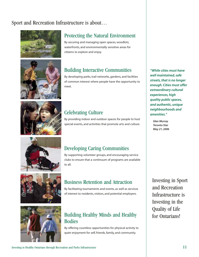### Sport and Recreation Infrastructure is about…













#### Protecting the Natural Environment

By securing and managing open spaces, woodlots, waterfronts, and environmentally sensitive areas for citizens to explore and enjoy.

#### Building Interactive Communities

By developing parks, trail networks, gardens, and facilities of common interest where people have the opportunity to meet.

#### Celebrating Culture

By providing indoor and outdoor spaces for people to host special events, and activities that promote arts and culture.

#### Developing Caring Communities

By supporting volunteer groups, and encouraging service clubs to ensure that a continuum of programs are available to all.

#### Business Retention and Attraction

By facilitating tournaments and events, as well as services of interest to residents, visitors, and potential employers.

### Building Healthy Minds and Healthy Bodies

By offering countless opportunities for physical activity to quiet enjoyment for self, friends, family, and community.

*"While cities must have well maintained, safe streets, that is no longer enough. Cities must offer extraordinary cultural experiences, high quality public spaces, and authentic, unique neighbourhoods and amenities."*

*Glen Murray Toronto Star May 21, 2006*

Investing in Sport and Recreation Infrastructure is Investing in the Quality of Life for Ontarians!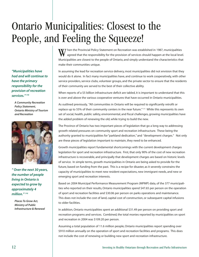# Ontario Municipalities: Closest to the People, and Feeling the Squeeze!

W hen the Provincial Policy Statement on Recreation was established in 1987, municipalities<br>agreed that the responsibility for the provision of services should happen at the local leve agreed that the responsibility for the provision of services should happen at the local level. Municipalities are closest to the people of Ontario, and simply understand the characteristics that make their communities unique.

In assuming the lead for recreation service delivery, most municipalities did not envision that they would do it alone. In fact many municipalities have, and continue to work cooperatively, with other service providers, service clubs, volunteer groups, and the private sector to ensure that the residents of their community are served to the best of their collective ability.

When reports of a \$5 billion infrastructure deficit are tabled, it is important to understand that this is over and above the various cooperative ventures that have occurred in Ontario municipalities.

As outlined previously, "All communities in Ontario will be required to significantly retrofit or replace up to 55% of their community centers in the near future."<sup>(17)</sup> While this represents its own set of social, health, public safety, environmental, and fiscal challenges, growing municipalities have the added problem of renewing the old, while trying to build the new.

The Province of Ontario has two important pieces of legislation that go a long way to addressing growth related pressures on community sport and recreation infrastructure. These being the authority granted to municipalities for "parkland dedication," and "development charges." Not only are these pieces of legislation important to maintain, they need to be enhanced.

Growth municipalities report fundamental shortcomings with the current development charges legislation for sport and recreation infrastructure. First, that only 90% of the cost of new recreation infrastructure is recoverable, and principally that development charges are based on historic levels of service. In simple terms, growth municipalities in Ontario are being asked to provide for the future, based on funding from the past. This is a recipe for disaster, as it severely constrains the capacity of municipalities to meet new resident expectations, new immigrant needs, and new or emerging sport and recreation interests.

Based on 2004 Municipal Performance Measurement Program (MPMP) data, of the 377 municipalities who reported on their results, Ontario municipalities spend \$47.65 per person on the operation of sport and recreation facilities and \$30.06 per person on parks operations and maintenance. This does not include the cost of land, capital cost of construction, or subsequent capital infusions to older facilities.

In addition, Ontario municipalities spent an additional \$31.49 per person on providing sport and recreation programs and services. Combined, the total monies reported by municipalities on sport and recreation in 2004 was \$109.20 per person.

Assuming a total population of 11.6 million people, Ontario municipalities report spending over \$910 million annually on the operation of sport and recreation facilities and programs. This does not include the cost of renewing or building new sport and recreation infrastructure.

*"Municipalities have had and will continue to have the primary responsibility for the provision of recreation services." (18)*

*A Community Recreation Policy Statement, Ontario Ministry of Tourism and Recreation*



*" Over the next 30 years, the number of people living in Ontario is expected to grow by approximately 4 million." (19)* 

*Places To Grow Act, Ministry of Public Infrastructure & Renewal*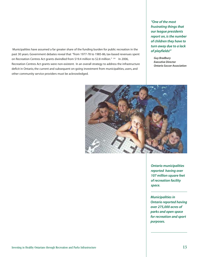Municipalities have assumed a far greater share of the funding burden for public recreation in the past 30 years. Government debates reveal that "from 1977-78 to 1985-86, tax-based revenues spent on Recreation Centres Act grants dwindled from \$19.4 million to \$2.8 million." (20) In 2006, Recreation Centres Act grants were non-existent. In an overall strategy to address the infrastructure deficit in Ontario, the current and subsequent on-going investment from municipalities, users, and other community service providers must be acknowledged.

*"One of the most frustrating things that our league presidents report on, is the number of children they have to turn away due to a lack of playfields!"*

*Guy Bradbury Executive Director Ontario Soccer Association*



*Ontario municipalities reported having over 107 million square feet of recreation facility space.*

*Municipalities in Ontario reported having over 275,000 acres of parks and open space for recreation and sport purposes.*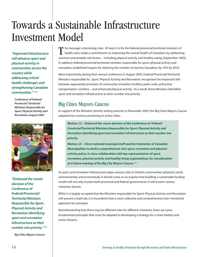# Towards a Sustainable Infrastructure Investment Model

*"Improved Infrastructure* T *will advance sport and physical activity in communities across the country while addressing critical health challenges and strengthening Canadian communities." (22)*

*Conference of Federal/ Provincial/ Territorial Ministers Responsible for Sport, Physical Activity and Recreation, August 2005*



*"Endorsed the recent decision of the Conference of Federal/Provincial/ Territorial Ministers Responsible for Sport, Physical Activity and Recreation identifying sport and recreation infrastructure as their number one priority." (23)*

*Big Cities Mayors Caucus*

he message is becoming clear. At least it is for the federal/provincial/territorial ministers of health, who made a commitment to improving the overall health of Canadians by addressing common preventable risk factors – including physical activity and healthy eating (September 2002). In addition, federal/provincial/territorial ministers responsible for sport, physical activity and recreation, established targets for reducing the number of inactive Canadians by 10% by 2010.

More importantly, during their annual conference in August 2005, Federal/Provincial/Territorial Ministers responsible for Sport, Physical Activity and Recreation, recognized the important link between appropriate provision of community recreation facilities, parks, trails, and active transportation corridors – and enhanced physical activity. As a result, these Ministers identified sport and recreation infrastructure as their number one priority.

#### Big Cities Mayors Caucus

In support of the Ministers' priority setting exercise, in November 2005, the Big Cities Mayors Caucus adopted two motions pertaining to active cities;

**Motion (1) –** *Endorsed the recent decision of the Conference of Federal/ Provincial/Territorial Ministers Responsible for Sport, Physical Activity and Recreation identifying sport and recreation infrastructure as their number one priority.*

**Motion (2) –** *Direct selected municipal staff and the Federation of Canadian Municipalities to draft a comprehensive civic sport, recreation and physical activity policy, in close collaboration with key representatives of sport, recreation, physical activity and healthy living organizations, for consideration at a future meeting of the Big City Mayors Caucus.* **(21)**

As sport and recreation infrastructure plays various roles in Ontario communities (physical, social, environmental, and economical), it should come as no surprise that building a sustainable funding model will not only involve both provincial and federal governments, it will involve various ministries therein.

While it is largely accepted that the Ministers responsible for Sport, Physical Activity and Recreation will assume a lead role, it is incumbent that a more collective and comprehensive inter-ministerial approach be activated.

Notwithstanding that there may be different roles for different ministries, there are some fundamental principles that must be adopted in developing a strategy for a more healthy and active Ontario.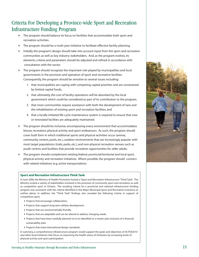### Criteria For Developing a Province-wide Sport and Recreation Infrastructure Funding Program

- The program should balance its focus on facilities that accommodate both sport and recreation activities.
- The program should be a multi-year initiative to facilitate effective facility planning.
- $\blacktriangleright$  Initially, the program's design should take into account input from the sport and recreation communities as well as key industry stakeholders. And, as the program evolves, its elements, criteria and parameters should be adjusted and refined in accordance with consultation with the sector.
- The program should recognize the important role played by municipalities and local governments in the provision and operation of sport and recreation facilities. Consequently, the program should be sensitive to several issues including:
	- 1. that municipalities are coping with competing capital priorities and are constrained by limited capital funds,
	- 2. that ultimately, the cost of facility operations will be absorbed by the local government which could be considered as part of its contribution to the program,
	- 3. that most communities require assistance with both the development of new and the rehabilitation of existing sport and recreation facilities, and
	- 4. that a locally initiated life cycle maintenance system is required to ensure that new or renovated facilities are adequately maintained.
- The program should be inclusive, encompassing every environment that accommodates leisure, recreation, physical activity and sport endeavours. As such, the program should cover built form in which traditional sports and physical activities occur (arenas, community centres, pools, etc.), outdoor environments that are increasingly popular with most target populations (trails, parks, etc.), and non-physical recreation venues such as youth centres and facilities that provide recreation opportunities for older adults.
- The program should complement existing federal, provincial/territorial and local sport, physical activity and recreation initiatives. Where possible, the program should connect with related initiatives (e.g. active transportation).

#### **Sport and Recreation Infrastructure Think Tank**

In June 2006, the Ministry of Health Promotion hosted a "Sport and Recreation Infrastructure "Think Tank". The Ministry invited a variety of stakeholders involved in the provision of community sport and recreation, as well as competitive sport in Ontario. The resulting criteria for a provincial and national infrastructure funding program was consistent with the criteria identified in the Major Municipal Sport and Recreation Inventory, as outline above. In addition, the "Think Tank" findings also revealed the following criteria in support of competitive sport:

- Projects that encourage collaboration.
- Projects that support long-term athlete development.
- Projects that are environmentally friendly.
- Projects that are adaptable and can be altered to address changing needs.
- Projects that have been carefully planned vis-à-vis identified in a master plan inclusive of a financial sustainability plan.
- Projects that meet international design standards.

In summary, a comprehensive infrastructure program would support the goals and objectives of *ACTIVE2010* and other local initiatives that focus on improving the health status of Ontarians by increasing levels of physical activity and sport participation.

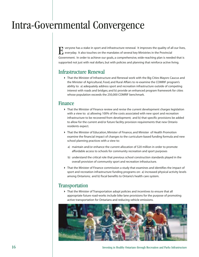### Intra-Governmental Convergence

veryone has a stake in sport and infrastructure renewal. It improves the quality of all our lives, everyday. It also touches on the mandates of several key Ministries in the Provincial Government. In order to achieve our goals, a comprehensive, wide-reaching plan is needed that is supported not just with real dollars, but with policies and planning that reinforce active living. E

#### Infrastructure Renewal

 That the Minister of Infrastructure and Renewal work with the Big Cities Mayors Caucus and the Minister of Agricultural, Food, and Rural Affairs to re-examine the COMRIF program's ability to: a) adequately address sport and recreation infrastructure outside of competing interest with roads and bridges; and b) provide an enhanced program framework for cities whose population exceeds the 250,000 COMRIF benchmark.

#### Finance

- That the Minister of Finance review and revise the current development charges legislation with a view to: a) allowing 100% of the costs associated with new sport and recreation infrastructure to be recovered from development; and b) that specific provisions be added to allow for the current and/or future facility provision requirements that new Ontario residents expect.
- That the Minister of Education, Minister of Finance, and Minister of Health Promotion examine the financial impact of changes to the curriculum-based funding formula and new school planning practices with a view to:
	- a) maintain and/or enhance the current allocation of \$20 million in order to promote affordable access to schools for community recreation and sport purposes
	- b) understand the critical role that previous school construction standards played in the overall provision of community sport and recreation infrastucture.
- That the Minister of Finance commission a study that examines and identifies the impact of sport and recreation infrastructure funding programs on: a) increased physical activity levels among Ontarions; and b) fiscal benefits to Ontario's health care system.

#### **Transportation**

 That the Minister of Transportation adopt policies and incentives to ensure that all appropriate future road-works include bike lane provisions for the purpose of promoting active transportation for Ontarians and reducing vehicle emissions.



16 Investing in Healthy Ontarians through Recreation and Parks Infrastructure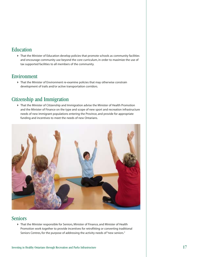#### Education

 That the Minister of Education develop policies that promote schools as community facilities and encourage community use beyond the core curriculum, in order to maximize the use of tax supported facilities to all members of the community.

#### Environment

 That the Minister of Environment re-examine policies that may otherwise constrain development of trails and/or active transportation corridors.

### Citizenship and Immigration

 That the Minister of Citizenship and Immigration advise the Minister of Health Promotion and the Minister of Finance on the type and scope of new sport and recreation infrastructure needs of new immigrant populations entering the Province, and provide for appropriate funding and incentives to meet the needs of new Ontarians.



#### Seniors

 That the Minister responsible for Seniors, Minister of Finance, and Minister of Health Promotion work together to provide incentives for retrofitting or converting traditional Seniors Centres, for the purpose of addressing the activity needs of "new seniors."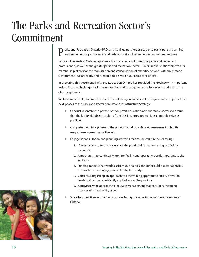# The Parks and Recreation Sector's Commitment

arks and Recreation Ontario (PRO) and its allied partners are eager to participate in planning and implementing a provincial and federal sport and recreation infrastructure program. P

Parks and Recreation Ontario represents the many voices of municipal parks and recreation professionals, as well as the greater parks and recreation sector. PRO's unique relationship with its membership allows for the mobilization and consolidation of expertise to work with the Ontario Government. We are ready and prepared to deliver on our respective efforts.

In preparing this document, Parks and Recreation Ontario has provided the Province with important insight into the challenges facing communities, and subsequently the Province, in addressing the obesity epidemic.

We have more to do, and more to share. The following initiatives will be implemented as part of the next phases of the Parks and Recreation Ontario Infrastructure Strategy:

- Conduct research with private, not-for-profit, education, and charitable sectors to ensure that the facility database resulting from this inventory project is as comprehensive as possible.
- Complete the future phases of the project including a detailed assessment of facility use patterns, operating profiles, etc.
- Engage in consultation and planning activities that could result in the following:
	- 1. A mechanism to frequently update the provincial recreation and sport facility inventory.
	- 2. A mechanism to continually monitor facility and operating trends important to the sector(s).
	- 3. Funding models that would assist municipalities and other public sector agencies deal with the funding gaps revealed by this study.
	- 4. Consensus regarding an approach to determining appropriate facility provision levels that can be consistently applied across the province.
	- 5. A province wide approach to life cycle management that considers the aging nuances of major facility types.
- Share best practices with other provinces facing the same infrastructure challenges as Ontario.